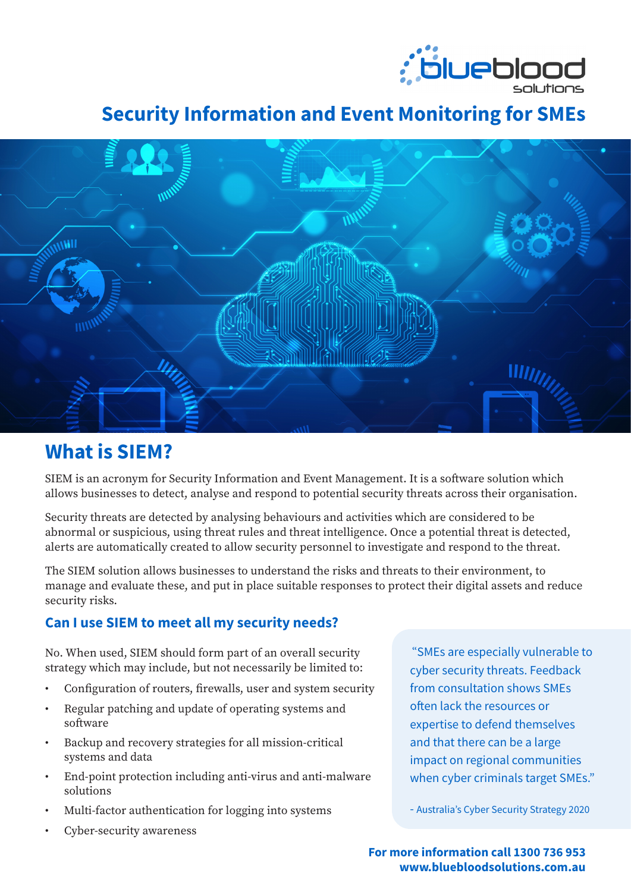

# **Security Information and Event Monitoring for SMEs**



# **What is SIEM?**

SIEM is an acronym for Security Information and Event Management. It is a software solution which allows businesses to detect, analyse and respond to potential security threats across their organisation.

Security threats are detected by analysing behaviours and activities which are considered to be abnormal or suspicious, using threat rules and threat intelligence. Once a potential threat is detected, alerts are automatically created to allow security personnel to investigate and respond to the threat.

The SIEM solution allows businesses to understand the risks and threats to their environment, to manage and evaluate these, and put in place suitable responses to protect their digital assets and reduce security risks.

## **Can I use SIEM to meet all my security needs?**

No. When used, SIEM should form part of an overall security strategy which may include, but not necessarily be limited to:

- Configuration of routers, firewalls, user and system security
- Regular patching and update of operating systems and software
- Backup and recovery strategies for all mission-critical systems and data
- End-point protection including anti-virus and anti-malware solutions
- Multi-factor authentication for logging into systems
- Cyber-security awareness

"SMEs are especially vulnerable to cyber security threats. Feedback from consultation shows SMEs often lack the resources or expertise to defend themselves and that there can be a large impact on regional communities when cyber criminals target SMEs."

- Australia's Cyber Security Strategy 2020

**For more information call 1300 736 953 www.bluebloodsolutions.com.au**